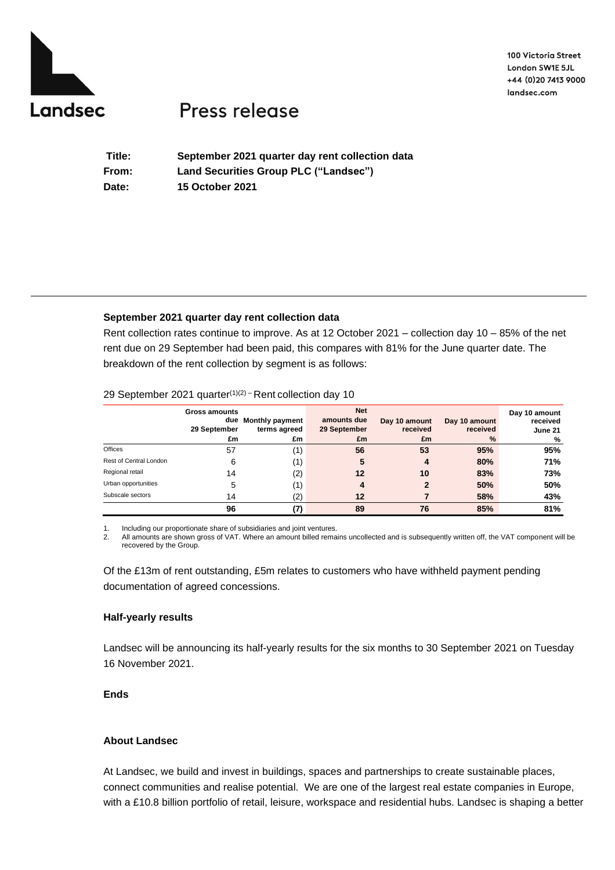

100 Victoria Street London SW1E 5JL +44 (0)20 7413 9000 landsec.com

# Press release

**Title: September 2021 quarter day rent collection data From: Land Securities Group PLC ("Landsec") Date: 15 October 2021**

## **September 2021 quarter day rent collection data**

Rent collection rates continue to improve. As at 12 October 2021 – collection day 10 – 85% of the net rent due on 29 September had been paid, this compares with 81% for the June quarter date. The breakdown of the rent collection by segment is as follows:

### 29 September 2021 quarter<sup>(1)(2)</sup> – Rent collection day 10

|                        | Gross amounts<br>29 September<br>£m | due Monthly payment<br>terms agreed<br>£m | <b>Net</b><br>amounts due<br>29 September<br>£m | Day 10 amount<br>received<br>£m | Day 10 amount<br>received<br>$\%$ | Day 10 amount<br>received<br>June 21<br>% |
|------------------------|-------------------------------------|-------------------------------------------|-------------------------------------------------|---------------------------------|-----------------------------------|-------------------------------------------|
| Offices                | 57                                  | $\left(1\right)$                          | 56                                              | 53                              | 95%                               | 95%                                       |
| Rest of Central London | 6                                   | 1)                                        | 5                                               | 4                               | 80%                               | 71%                                       |
| Regional retail        | 14                                  | (2)                                       | 12                                              | 10                              | 83%                               | 73%                                       |
| Urban opportunities    | 5                                   | (1)                                       |                                                 | $\mathbf{2}$                    | 50%                               | 50%                                       |
| Subscale sectors       | 14                                  | (2)                                       | 12                                              |                                 | 58%                               | 43%                                       |
|                        | 96                                  |                                           | 89                                              | 76                              | 85%                               | 81%                                       |

1. Including our proportionate share of subsidiaries and joint ventures.<br>2. All amounts are shown gross of VAT. Where an amount billed rema

2. All amounts are shown gross of VAT. Where an amount billed remains uncollected and is subsequently written off, the VAT component will be recovered by the Group.

Of the £13m of rent outstanding, £5m relates to customers who have withheld payment pending documentation of agreed concessions.

#### **Half-yearly results**

Landsec will be announcing its half-yearly results for the six months to 30 September 2021 on Tuesday 16 November 2021.

## **Ends**

## **About Landsec**

At Landsec, we build and invest in buildings, spaces and partnerships to create sustainable places, connect communities and realise potential. We are one of the largest real estate companies in Europe, with a £10.8 billion portfolio of retail, leisure, workspace and residential hubs. Landsec is shaping a better